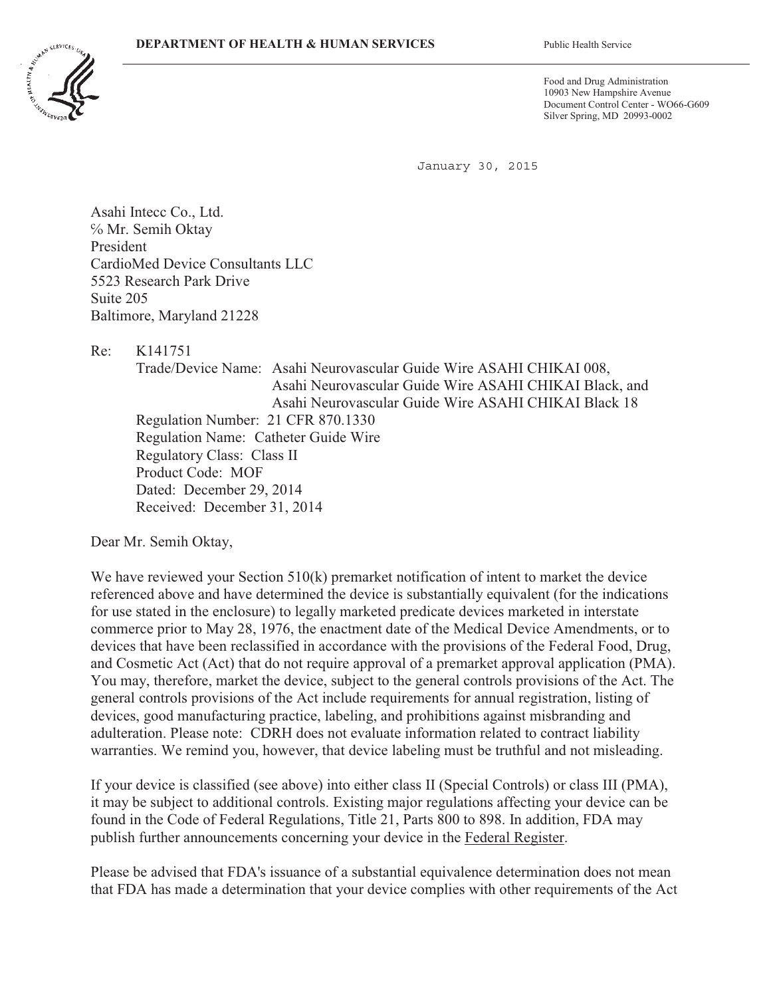

Food and Drug Administration 10903 New Hampshire Avenue Document Control Center - WO66-G609 Silver Spring, MD 20993-0002

January 30, 2015

Asahi Intecc Co., Ltd. ƏMr. Semih Oktay President CardioMed Device Consultants LLC 5523 Research Park Drive Suite 205 Baltimore, Maryland 21228

Re: K141751

Trade/Device Name: Asahi Neurovascular Guide Wire ASAHI CHIKAI 008, Asahi Neurovascular Guide Wire ASAHI CHIKAI Black, and Asahi Neurovascular Guide Wire ASAHI CHIKAI Black 18 Regulation Number: 21 CFR 870.1330 Regulation Name: Catheter Guide Wire Regulatory Class: Class II Product Code: MOF Dated: December 29, 2014 Received: December 31, 2014

Dear Mr. Semih Oktay,

We have reviewed your Section 510(k) premarket notification of intent to market the device referenced above and have determined the device is substantially equivalent (for the indications for use stated in the enclosure) to legally marketed predicate devices marketed in interstate commerce prior to May 28, 1976, the enactment date of the Medical Device Amendments, or to devices that have been reclassified in accordance with the provisions of the Federal Food, Drug, and Cosmetic Act (Act) that do not require approval of a premarket approval application (PMA). You may, therefore, market the device, subject to the general controls provisions of the Act. The general controls provisions of the Act include requirements for annual registration, listing of devices, good manufacturing practice, labeling, and prohibitions against misbranding and adulteration. Please note: CDRH does not evaluate information related to contract liability warranties. We remind you, however, that device labeling must be truthful and not misleading.

If your device is classified (see above) into either class II (Special Controls) or class III (PMA), it may be subject to additional controls. Existing major regulations affecting your device can be found in the Code of Federal Regulations, Title 21, Parts 800 to 898. In addition, FDA may publish further announcements concerning your device in the Federal Register.

Please be advised that FDA's issuance of a substantial equivalence determination does not mean that FDA has made a determination that your device complies with other requirements of the Act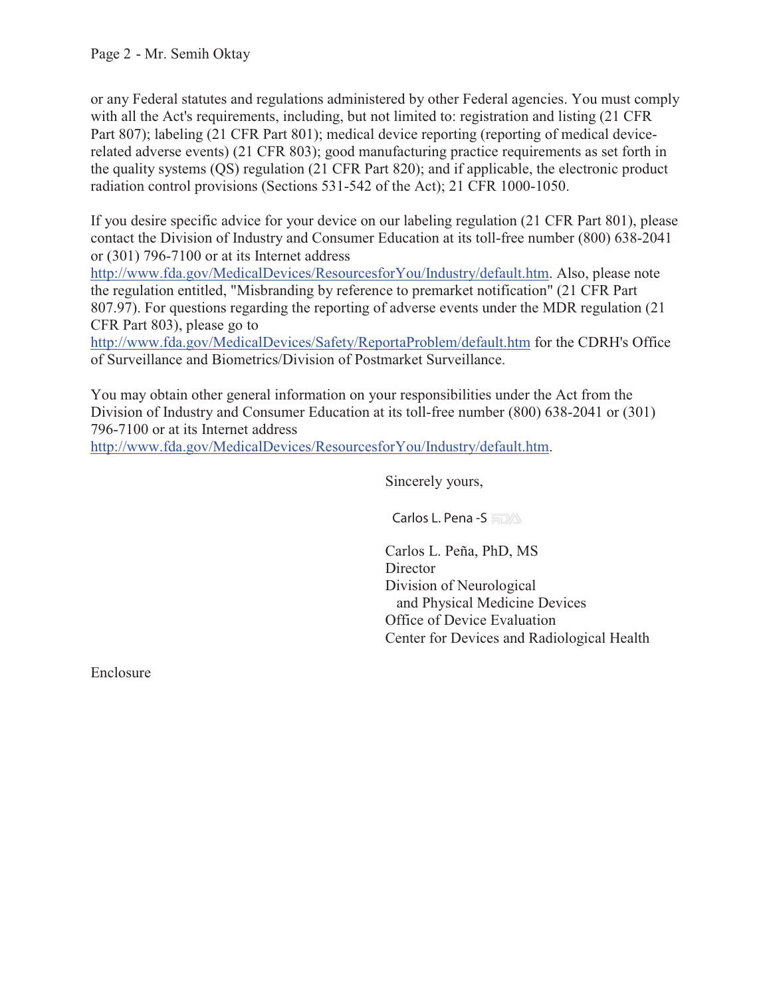or any Federal statutes and regulations administered by other Federal agencies. You must comply with all the Act's requirements, including, but not limited to: registration and listing (21 CFR Part 807); labeling (21 CFR Part 801); medical device reporting (reporting of medical devicerelated adverse events) (21 CFR 803); good manufacturing practice requirements as set forth in the quality systems (QS) regulation (21 CFR Part 820); and if applicable, the electronic product radiation control provisions (Sections 531-542 of the Act); 21 CFR 1000-1050.

If you desire specific advice for your device on our labeling regulation (21 CFR Part 801), please contact the Division of Industry and Consumer Education at its toll-free number (800) 638-2041 or (301) 796-7100 or at its Internet address

http://www.fda.gov/MedicalDevices/ResourcesforYou/Industry/default.htm. Also, please note the regulation entitled, "Misbranding by reference to premarket notification" (21 CFR Part 807.97). For questions regarding the reporting of adverse events under the MDR regulation (21 CFR Part 803), please go to

http://www.fda.gov/MedicalDevices/Safety/ReportaProblem/default.htm for the CDRH's Office of Surveillance and Biometrics/Division of Postmarket Surveillance.

You may obtain other general information on your responsibilities under the Act from the Division of Industry and Consumer Education at its toll-free number (800) 638-2041 or (301) 796-7100 or at its Internet address

http://www.fda.gov/MedicalDevices/ResourcesforYou/Industry/default.htm.

Sincerely yours,

Carlos L. Peña, PhD, MS **Director** Division of Neurological and Physical Medicine Devices Office of Device Evaluation Center for Devices and Radiological Health

Enclosure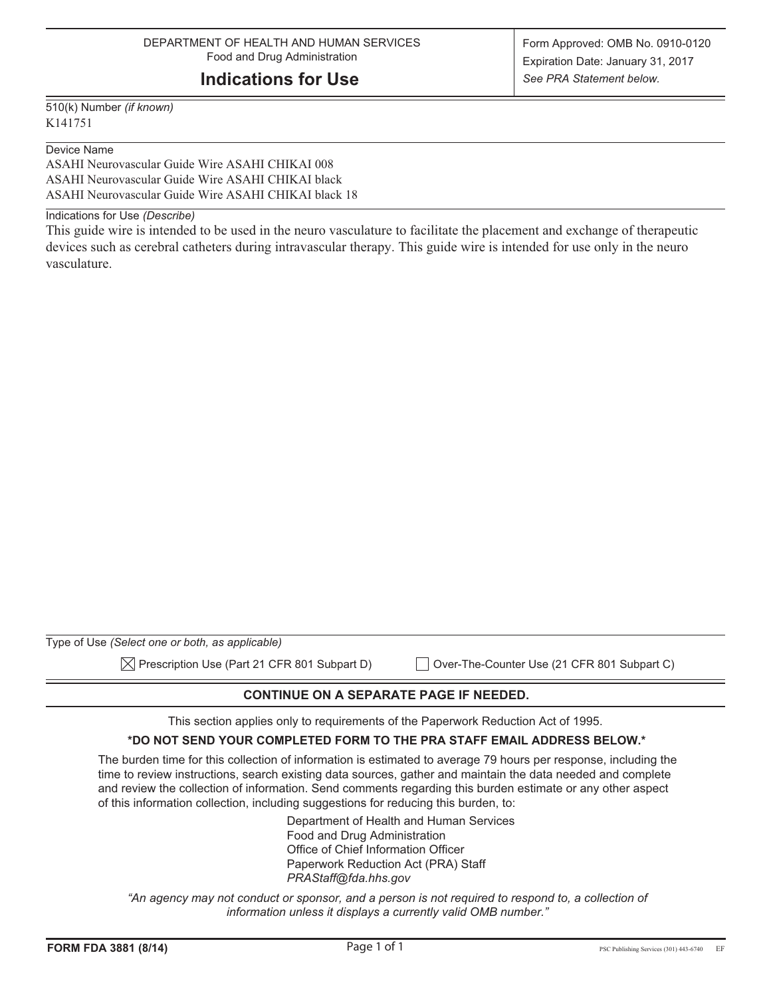### **Indications for Use**

510(k) Number *(if known)* K141751

#### Device Name

ASAHI Neurovascular Guide Wire ASAHI CHIKAI 008 ASAHI Neurovascular Guide Wire ASAHI CHIKAI black ASAHI Neurovascular Guide Wire ASAHI CHIKAI black 18

Indications for Use *(Describe)*

This guide wire is intended to be used in the neuro vasculature to facilitate the placement and exchange of therapeutic devices such as cerebral catheters during intravascular therapy. This guide wire is intended for use only in the neuro vasculature.

| Type of Use (Select one or both, as applicable)          |                                             |
|----------------------------------------------------------|---------------------------------------------|
| $\boxtimes$ Prescription Use (Part 21 CFR 801 Subpart D) | Over-The-Counter Use (21 CFR 801 Subpart C) |

**CONTINUE ON A SEPARATE PAGE IF NEEDED.** 

This section applies only to requirements of the Paperwork Reduction Act of 1995.

#### **\*DO NOT SEND YOUR COMPLETED FORM TO THE PRA STAFF EMAIL ADDRESS BELOW.\***

The burden time for this collection of information is estimated to average 79 hours per response, including the time to review instructions, search existing data sources, gather and maintain the data needed and complete and review the collection of information. Send comments regarding this burden estimate or any other aspect of this information collection, including suggestions for reducing this burden, to:

> Department of Health and Human Services Food and Drug Administration Office of Chief Information Officer Paperwork Reduction Act (PRA) Staff *PRAStaff@fda.hhs.gov*

"An agency may not conduct or sponsor, and a person is not required to respond to, a collection of *information unless it displays a currently valid OMB number."*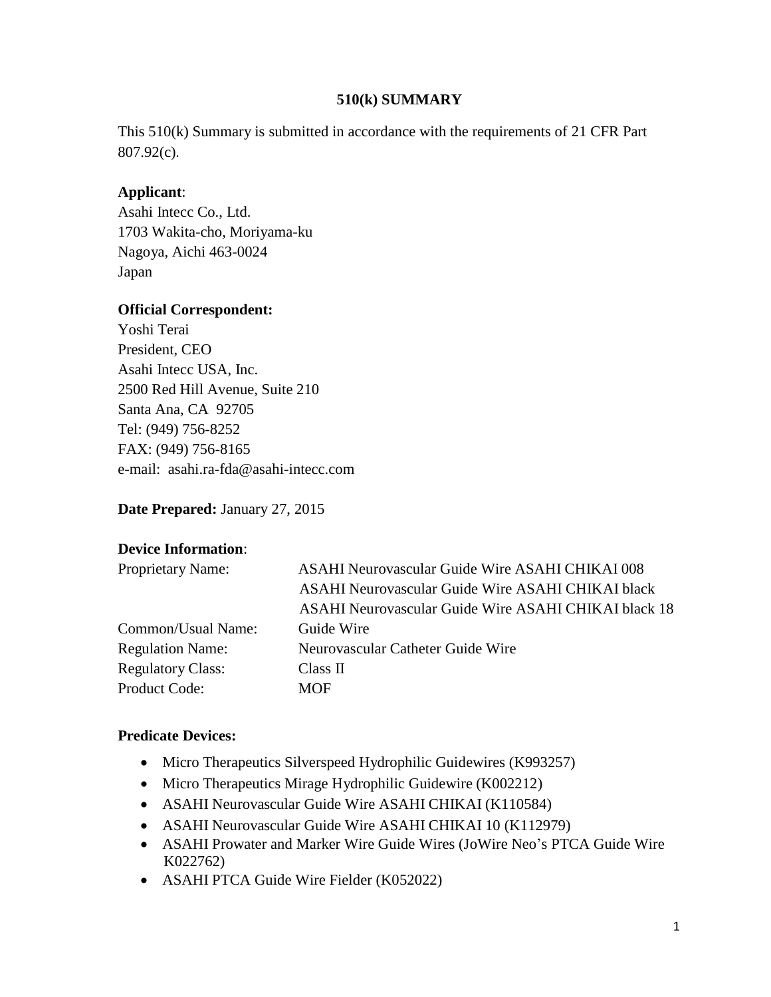#### **510(k) SUMMARY**

This 510(k) Summary is submitted in accordance with the requirements of 21 CFR Part 807.92(c).

## **Applicant**:

Asahi Intecc Co., Ltd. 1703 Wakita-cho, Moriyama-ku Nagoya, Aichi 463-0024 Japan

# **Official Correspondent:**

Yoshi Terai President, CEO Asahi Intecc USA, Inc. 2500 Red Hill Avenue, Suite 210 Santa Ana, CA 92705 Tel: (949) 756-8252 FAX: (949) 756-8165 e-mail: [asahi.ra-fda@asahi-intecc.com](mailto:asahi.ra-fda@asahi-intecc.com)

**Date Prepared:** January 27, 2015

### **Device Information**:

| <b>Proprietary Name:</b> | ASAHI Neurovascular Guide Wire ASAHI CHIKAI 008      |  |  |  |
|--------------------------|------------------------------------------------------|--|--|--|
|                          | ASAHI Neurovascular Guide Wire ASAHI CHIKAI black    |  |  |  |
|                          | ASAHI Neurovascular Guide Wire ASAHI CHIKAI black 18 |  |  |  |
| Common/Usual Name:       | Guide Wire                                           |  |  |  |
| <b>Regulation Name:</b>  | Neurovascular Catheter Guide Wire                    |  |  |  |
| <b>Regulatory Class:</b> | Class II                                             |  |  |  |
| <b>Product Code:</b>     | <b>MOF</b>                                           |  |  |  |

### **Predicate Devices:**

- Micro Therapeutics Silverspeed Hydrophilic Guidewires (K993257)
- Micro Therapeutics Mirage Hydrophilic Guidewire (K002212)
- ASAHI Neurovascular Guide Wire ASAHI CHIKAI (K110584)
- ASAHI Neurovascular Guide Wire ASAHI CHIKAI 10 (K112979)
- ASAHI Prowater and Marker Wire Guide Wires (JoWire Neo's PTCA Guide Wire K022762)
- ASAHI PTCA Guide Wire Fielder (K052022)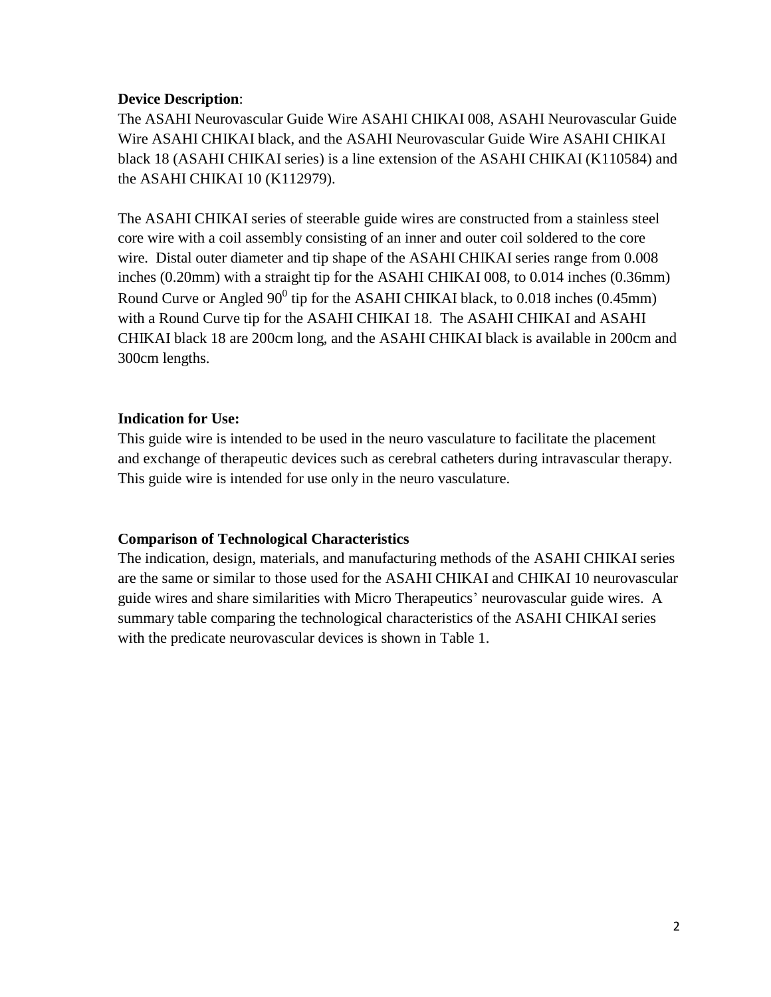#### **Device Description**:

The ASAHI Neurovascular Guide Wire ASAHI CHIKAI 008, ASAHI Neurovascular Guide Wire ASAHI CHIKAI black, and the ASAHI Neurovascular Guide Wire ASAHI CHIKAI black 18 (ASAHI CHIKAI series) is a line extension of the ASAHI CHIKAI (K110584) and the ASAHI CHIKAI 10 (K112979).

The ASAHI CHIKAI series of steerable guide wires are constructed from a stainless steel core wire with a coil assembly consisting of an inner and outer coil soldered to the core wire. Distal outer diameter and tip shape of the ASAHI CHIKAI series range from 0.008 inches (0.20mm) with a straight tip for the ASAHI CHIKAI 008, to 0.014 inches (0.36mm) Round Curve or Angled  $90^0$  tip for the ASAHI CHIKAI black, to 0.018 inches (0.45mm) with a Round Curve tip for the ASAHI CHIKAI 18. The ASAHI CHIKAI and ASAHI CHIKAI black 18 are 200cm long, and the ASAHI CHIKAI black is available in 200cm and 300cm lengths.

### **Indication for Use:**

This guide wire is intended to be used in the neuro vasculature to facilitate the placement and exchange of therapeutic devices such as cerebral catheters during intravascular therapy. This guide wire is intended for use only in the neuro vasculature.

### **Comparison of Technological Characteristics**

The indication, design, materials, and manufacturing methods of the ASAHI CHIKAI series are the same or similar to those used for the ASAHI CHIKAI and CHIKAI 10 neurovascular guide wires and share similarities with Micro Therapeutics' neurovascular guide wires. A summary table comparing the technological characteristics of the ASAHI CHIKAI series with the predicate neurovascular devices is shown in Table 1.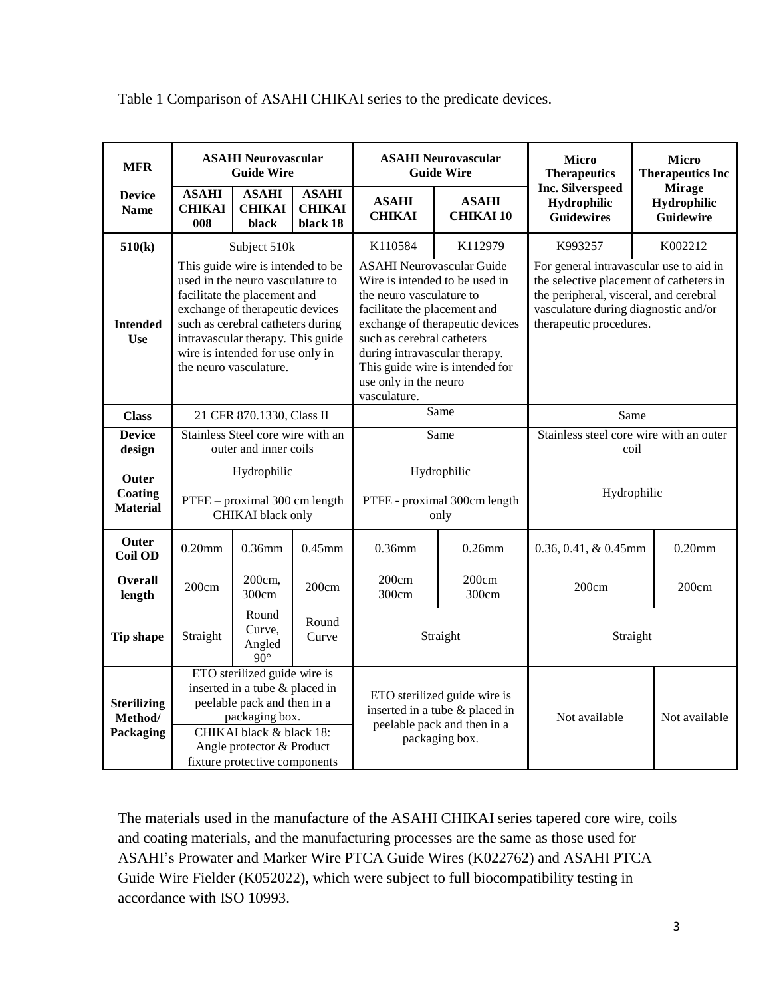| <b>MFR</b>                                 | <b>ASAHI Neurovascular</b><br><b>Guide Wire</b>                                                                                                                                                                                                                                  |                                         | <b>ASAHI Neurovascular</b><br><b>Guide Wire</b>                                                                 |                                                                                                                                                                                                                                                                                                              | <b>Micro</b><br><b>Therapeutics</b>             | <b>Micro</b><br><b>Therapeutics Inc</b>                                                                                                                                                         |                                           |
|--------------------------------------------|----------------------------------------------------------------------------------------------------------------------------------------------------------------------------------------------------------------------------------------------------------------------------------|-----------------------------------------|-----------------------------------------------------------------------------------------------------------------|--------------------------------------------------------------------------------------------------------------------------------------------------------------------------------------------------------------------------------------------------------------------------------------------------------------|-------------------------------------------------|-------------------------------------------------------------------------------------------------------------------------------------------------------------------------------------------------|-------------------------------------------|
| <b>Device</b><br><b>Name</b>               | <b>ASAHI</b><br><b>CHIKAI</b><br>008                                                                                                                                                                                                                                             | <b>ASAHI</b><br><b>CHIKAI</b><br>black  | <b>ASAHI</b><br><b>CHIKAI</b><br>black 18                                                                       | <b>ASAHI</b><br><b>CHIKAI</b>                                                                                                                                                                                                                                                                                | <b>ASAHI</b><br><b>CHIKAI10</b>                 | <b>Inc. Silverspeed</b><br>Hydrophilic<br><b>Guidewires</b>                                                                                                                                     | <b>Mirage</b><br>Hydrophilic<br>Guidewire |
| 510(k)                                     | Subject 510k                                                                                                                                                                                                                                                                     |                                         |                                                                                                                 | K110584                                                                                                                                                                                                                                                                                                      | K112979                                         | K993257                                                                                                                                                                                         | K002212                                   |
| <b>Intended</b><br>Use                     | This guide wire is intended to be<br>used in the neuro vasculature to<br>facilitate the placement and<br>exchange of therapeutic devices<br>such as cerebral catheters during<br>intravascular therapy. This guide<br>wire is intended for use only in<br>the neuro vasculature. |                                         |                                                                                                                 | <b>ASAHI Neurovascular Guide</b><br>Wire is intended to be used in<br>the neuro vasculature to<br>facilitate the placement and<br>exchange of therapeutic devices<br>such as cerebral catheters<br>during intravascular therapy.<br>This guide wire is intended for<br>use only in the neuro<br>vasculature. |                                                 | For general intravascular use to aid in<br>the selective placement of catheters in<br>the peripheral, visceral, and cerebral<br>vasculature during diagnostic and/or<br>therapeutic procedures. |                                           |
| <b>Class</b>                               | 21 CFR 870.1330, Class II                                                                                                                                                                                                                                                        |                                         | Same                                                                                                            |                                                                                                                                                                                                                                                                                                              | Same                                            |                                                                                                                                                                                                 |                                           |
| <b>Device</b><br>design                    | Stainless Steel core wire with an<br>outer and inner coils                                                                                                                                                                                                                       |                                         | Same                                                                                                            |                                                                                                                                                                                                                                                                                                              | Stainless steel core wire with an outer<br>coil |                                                                                                                                                                                                 |                                           |
| Outer<br>Coating<br><b>Material</b>        | Hydrophilic<br>PTFE - proximal 300 cm length<br>CHIKAI black only                                                                                                                                                                                                                |                                         | Hydrophilic<br>PTFE - proximal 300cm length<br>only                                                             |                                                                                                                                                                                                                                                                                                              | Hydrophilic                                     |                                                                                                                                                                                                 |                                           |
| <b>Outer</b><br><b>Coil OD</b>             | $0.20$ mm                                                                                                                                                                                                                                                                        | $0.36$ mm                               | $0.45$ mm                                                                                                       | $0.36$ mm                                                                                                                                                                                                                                                                                                    | $0.26$ mm                                       | 0.36, 0.41, & 0.45mm                                                                                                                                                                            | $0.20$ mm                                 |
| <b>Overall</b><br>length                   | 200cm                                                                                                                                                                                                                                                                            | 200cm,<br>300cm                         | 200cm                                                                                                           | 200cm<br>300cm                                                                                                                                                                                                                                                                                               | 200cm<br>300cm                                  | 200cm                                                                                                                                                                                           | 200cm                                     |
| <b>Tip shape</b>                           | Straight                                                                                                                                                                                                                                                                         | Round<br>Curve,<br>Angled<br>$90^\circ$ | Round<br>Curve                                                                                                  | Straight                                                                                                                                                                                                                                                                                                     |                                                 | Straight                                                                                                                                                                                        |                                           |
| <b>Sterilizing</b><br>Method/<br>Packaging | ETO sterilized guide wire is<br>inserted in a tube & placed in<br>peelable pack and then in a<br>packaging box.<br>CHIKAI black & black 18:<br>Angle protector & Product<br>fixture protective components                                                                        |                                         | ETO sterilized guide wire is<br>inserted in a tube & placed in<br>peelable pack and then in a<br>packaging box. |                                                                                                                                                                                                                                                                                                              | Not available                                   | Not available                                                                                                                                                                                   |                                           |

Table 1 Comparison of ASAHI CHIKAI series to the predicate devices.

The materials used in the manufacture of the ASAHI CHIKAI series tapered core wire, coils and coating materials, and the manufacturing processes are the same as those used for ASAHI's Prowater and Marker Wire PTCA Guide Wires (K022762) and ASAHI PTCA Guide Wire Fielder (K052022), which were subject to full biocompatibility testing in accordance with ISO 10993.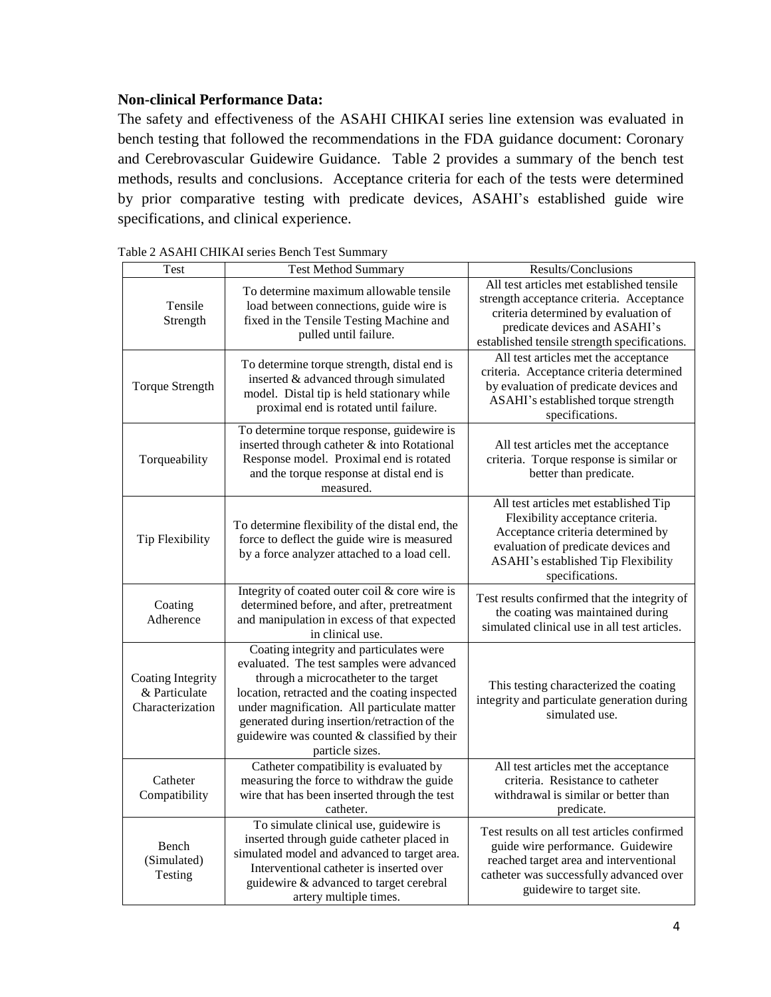#### **Non-clinical Performance Data:**

The safety and effectiveness of the ASAHI CHIKAI series line extension was evaluated in bench testing that followed the recommendations in the FDA guidance document: Coronary and Cerebrovascular Guidewire Guidance. Table 2 provides a summary of the bench test methods, results and conclusions. Acceptance criteria for each of the tests were determined by prior comparative testing with predicate devices, ASAHI's established guide wire specifications, and clinical experience.

| <b>Test</b>                                                   | <b>Test Method Summary</b>                                                                                                                                                                                                                                                                                                                      | Results/Conclusions                                                                                                                                                                                             |
|---------------------------------------------------------------|-------------------------------------------------------------------------------------------------------------------------------------------------------------------------------------------------------------------------------------------------------------------------------------------------------------------------------------------------|-----------------------------------------------------------------------------------------------------------------------------------------------------------------------------------------------------------------|
| Tensile<br>Strength                                           | To determine maximum allowable tensile<br>load between connections, guide wire is<br>fixed in the Tensile Testing Machine and<br>pulled until failure.                                                                                                                                                                                          | All test articles met established tensile<br>strength acceptance criteria. Acceptance<br>criteria determined by evaluation of<br>predicate devices and ASAHI's<br>established tensile strength specifications.  |
| <b>Torque Strength</b>                                        | To determine torque strength, distal end is<br>inserted & advanced through simulated<br>model. Distal tip is held stationary while<br>proximal end is rotated until failure.                                                                                                                                                                    | All test articles met the acceptance<br>criteria. Acceptance criteria determined<br>by evaluation of predicate devices and<br>ASAHI's established torque strength<br>specifications.                            |
| Torqueability                                                 | To determine torque response, guidewire is<br>inserted through catheter & into Rotational<br>Response model. Proximal end is rotated<br>and the torque response at distal end is<br>measured.                                                                                                                                                   | All test articles met the acceptance<br>criteria. Torque response is similar or<br>better than predicate.                                                                                                       |
| <b>Tip Flexibility</b>                                        | To determine flexibility of the distal end, the<br>force to deflect the guide wire is measured<br>by a force analyzer attached to a load cell.                                                                                                                                                                                                  | All test articles met established Tip<br>Flexibility acceptance criteria.<br>Acceptance criteria determined by<br>evaluation of predicate devices and<br>ASAHI's established Tip Flexibility<br>specifications. |
| Coating<br>Adherence                                          | Integrity of coated outer coil & core wire is<br>determined before, and after, pretreatment<br>and manipulation in excess of that expected<br>in clinical use.                                                                                                                                                                                  | Test results confirmed that the integrity of<br>the coating was maintained during<br>simulated clinical use in all test articles.                                                                               |
| <b>Coating Integrity</b><br>& Particulate<br>Characterization | Coating integrity and particulates were<br>evaluated. The test samples were advanced<br>through a microcatheter to the target<br>location, retracted and the coating inspected<br>under magnification. All particulate matter<br>generated during insertion/retraction of the<br>guidewire was counted & classified by their<br>particle sizes. | This testing characterized the coating<br>integrity and particulate generation during<br>simulated use.                                                                                                         |
| Catheter<br>Compatibility                                     | Catheter compatibility is evaluated by<br>measuring the force to withdraw the guide<br>wire that has been inserted through the test<br>catheter.                                                                                                                                                                                                | All test articles met the acceptance<br>criteria. Resistance to catheter<br>withdrawal is similar or better than<br>predicate.                                                                                  |
| Bench<br>(Simulated)<br>Testing                               | To simulate clinical use, guidewire is<br>inserted through guide catheter placed in<br>simulated model and advanced to target area.<br>Interventional catheter is inserted over<br>guidewire & advanced to target cerebral<br>artery multiple times.                                                                                            | Test results on all test articles confirmed<br>guide wire performance. Guidewire<br>reached target area and interventional<br>catheter was successfully advanced over<br>guidewire to target site.              |

Table 2 ASAHI CHIKAI series Bench Test Summary